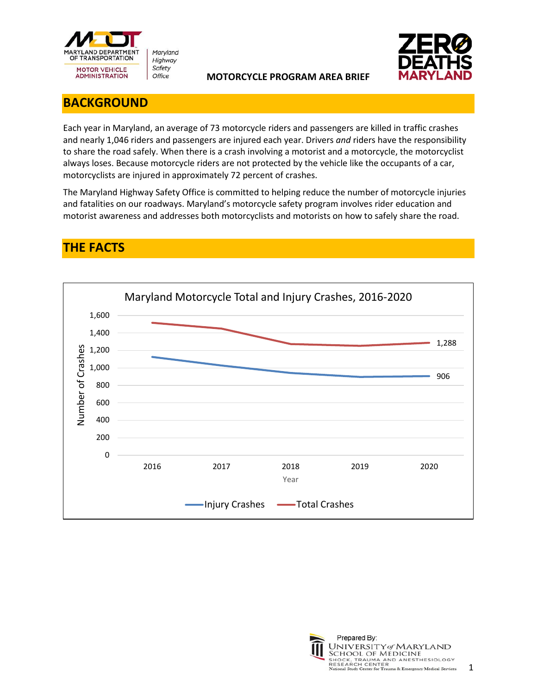



## **BACKGROUND**

Each year in Maryland, an average of 73 motorcycle riders and passengers are killed in traffic crashes and nearly 1,046 riders and passengers are injured each year. Drivers *and* riders have the responsibility to share the road safely. When there is a crash involving a motorist and a motorcycle, the motorcyclist always loses. Because motorcycle riders are not protected by the vehicle like the occupants of a car, motorcyclists are injured in approximately 72 percent of crashes.

The Maryland Highway Safety Office is committed to helping reduce the number of motorcycle injuries and fatalities on our roadways. Maryland's motorcycle safety program involves rider education and motorist awareness and addresses both motorcyclists and motorists on how to safely share the road.

# **THE FACTS**



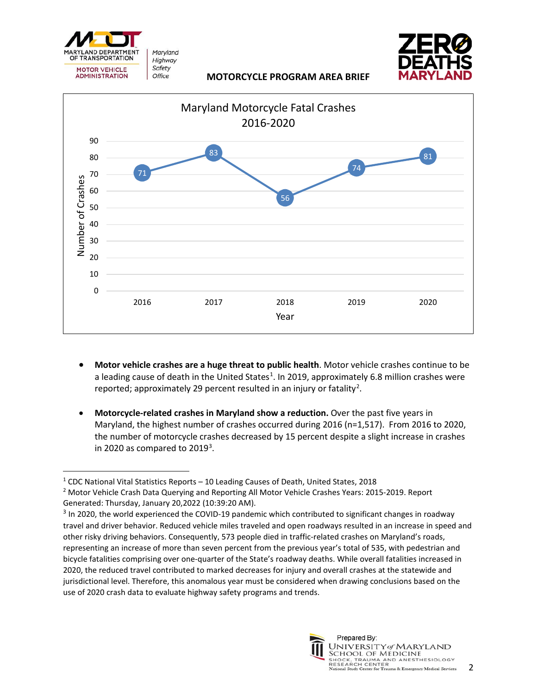





- **Motor vehicle crashes are a huge threat to public health**. Motor vehicle crashes continue to be a leading cause of death in the United States<sup>[1](#page-1-0)</sup>. In 2019, approximately 6.8 million crashes were reported; approximately [2](#page-1-1)9 percent resulted in an injury or fatality<sup>2</sup>.
- **Motorcycle-related crashes in Maryland show a reduction.** Over the past five years in Maryland, the highest number of crashes occurred during 2016 (n=1,517). From 2016 to 2020, the number of motorcycle crashes decreased by 15 percent despite a slight increase in crashes in 2020 as compared to  $2019<sup>3</sup>$  $2019<sup>3</sup>$  $2019<sup>3</sup>$ .



<span id="page-1-0"></span><sup>1</sup> CDC National Vital Statistics Reports – 10 Leading Causes of Death, United States, 2018

<span id="page-1-1"></span><sup>&</sup>lt;sup>2</sup> Motor Vehicle Crash Data Querying and Reporting All Motor Vehicle Crashes Years: 2015-2019. Report Generated: Thursday, January 20,2022 (10:39:20 AM).

<span id="page-1-2"></span><sup>&</sup>lt;sup>3</sup> In 2020, the world experienced the COVID-19 pandemic which contributed to significant changes in roadway travel and driver behavior. Reduced vehicle miles traveled and open roadways resulted in an increase in speed and other risky driving behaviors. Consequently, 573 people died in traffic-related crashes on Maryland's roads, representing an increase of more than seven percent from the previous year's total of 535, with pedestrian and bicycle fatalities comprising over one-quarter of the State's roadway deaths. While overall fatalities increased in 2020, the reduced travel contributed to marked decreases for injury and overall crashes at the statewide and jurisdictional level. Therefore, this anomalous year must be considered when drawing conclusions based on the use of 2020 crash data to evaluate highway safety programs and trends.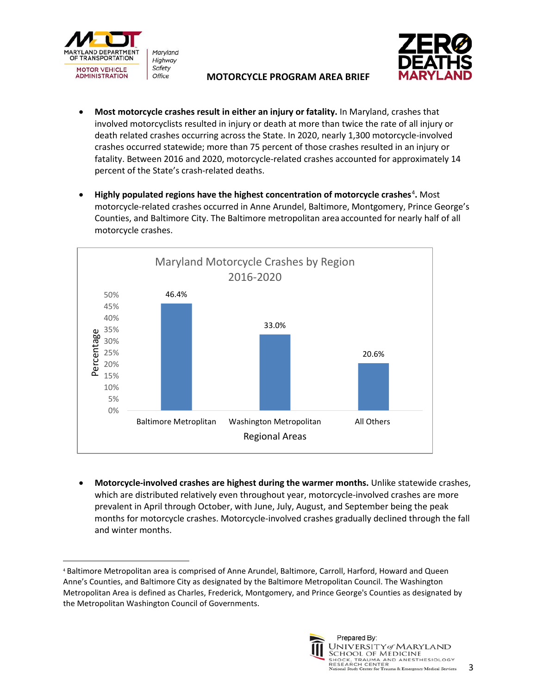



- **Most motorcycle crashes result in either an injury or fatality.** In Maryland, crashes that involved motorcyclists resulted in injury or death at more than twice the rate of all injury or death related crashes occurring across the State. In 2020, nearly 1,300 motorcycle-involved crashes occurred statewide; more than 75 percent of those crashes resulted in an injury or fatality. Between 2016 and 2020, motorcycle-related crashes accounted for approximately 14 percent of the State's crash-related deaths.
- Highly populated regions have the highest concentration of motorcycle crashes<sup>[4](#page-2-0)</sup>. Most motorcycle-related crashes occurred in Anne Arundel, Baltimore, Montgomery, Prince George's Counties, and Baltimore City. The Baltimore metropolitan area accounted for nearly half of all motorcycle crashes.



• **Motorcycle-involved crashes are highest during the warmer months.** Unlike statewide crashes, which are distributed relatively even throughout year, motorcycle-involved crashes are more prevalent in April through October, with June, July, August, and September being the peak months for motorcycle crashes. Motorcycle-involved crashes gradually declined through the fall and winter months.

<span id="page-2-0"></span><sup>4</sup> Baltimore Metropolitan area is comprised of Anne Arundel, Baltimore, Carroll, Harford, Howard and Queen Anne's Counties, and Baltimore City as designated by the Baltimore Metropolitan Council. The Washington Metropolitan Area is defined as Charles, Frederick, Montgomery, and Prince George's Counties as designated by the Metropolitan Washington Council of Governments.